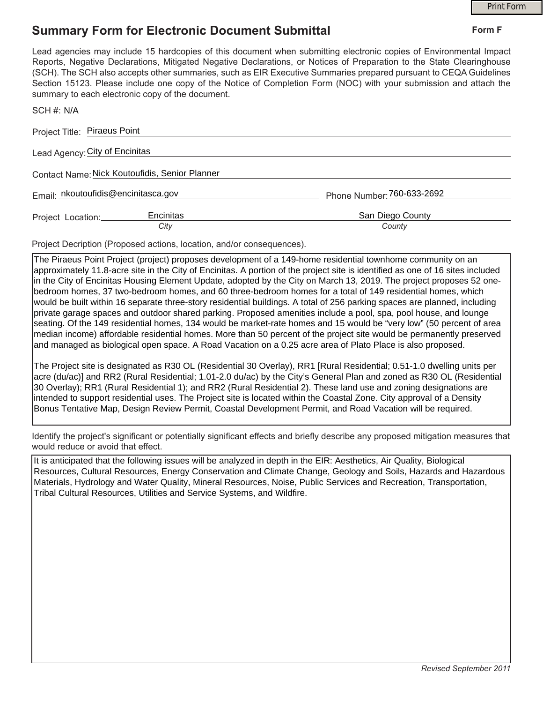## **Summary Form for Electronic Document Submittal**

|                                                                                                                                                                                                                                                                                                                                                                                                                                                                                                                                           | <b>Print Form</b>          |
|-------------------------------------------------------------------------------------------------------------------------------------------------------------------------------------------------------------------------------------------------------------------------------------------------------------------------------------------------------------------------------------------------------------------------------------------------------------------------------------------------------------------------------------------|----------------------------|
| <b>Summary Form for Electronic Document Submittal</b>                                                                                                                                                                                                                                                                                                                                                                                                                                                                                     | Form F                     |
| Lead agencies may include 15 hardcopies of this document when submitting electronic copies of Environmental Impact<br>Reports, Negative Declarations, Mitigated Negative Declarations, or Notices of Preparation to the State Clearinghouse<br>(SCH). The SCH also accepts other summaries, such as EIR Executive Summaries prepared pursuant to CEQA Guidelines<br>Section 15123. Please include one copy of the Notice of Completion Form (NOC) with your submission and attach the<br>summary to each electronic copy of the document. |                            |
| SCH #: N/A                                                                                                                                                                                                                                                                                                                                                                                                                                                                                                                                |                            |
| Project Title: Piraeus Point                                                                                                                                                                                                                                                                                                                                                                                                                                                                                                              |                            |
| Lead Agency: City of Encinitas                                                                                                                                                                                                                                                                                                                                                                                                                                                                                                            |                            |
| Contact Name: Nick Koutoufidis, Senior Planner                                                                                                                                                                                                                                                                                                                                                                                                                                                                                            |                            |
| Email: nkoutoufidis@encinitasca.gov                                                                                                                                                                                                                                                                                                                                                                                                                                                                                                       | Phone Number: 760-633-2692 |
| Encinitas<br>Project Location:                                                                                                                                                                                                                                                                                                                                                                                                                                                                                                            | San Diego County           |
| City                                                                                                                                                                                                                                                                                                                                                                                                                                                                                                                                      | County                     |

Project Decription (Proposed actions, location, and/or consequences).

The Piraeus Point Project (project) proposes development of a 149-home residential townhome community on an approximately 11.8-acre site in the City of Encinitas. A portion of the project site is identified as one of 16 sites included in the City of Encinitas Housing Element Update, adopted by the City on March 13, 2019. The project proposes 52 onebedroom homes, 37 two-bedroom homes, and 60 three-bedroom homes for a total of 149 residential homes, which would be built within 16 separate three-story residential buildings. A total of 256 parking spaces are planned, including private garage spaces and outdoor shared parking. Proposed amenities include a pool, spa, pool house, and lounge seating. Of the 149 residential homes, 134 would be market-rate homes and 15 would be "very low" (50 percent of area median income) affordable residential homes. More than 50 percent of the project site would be permanently preserved and managed as biological open space. A Road Vacation on a 0.25 acre area of Plato Place is also proposed.

The Project site is designated as R30 OL (Residential 30 Overlay), RR1 [Rural Residential; 0.51-1.0 dwelling units per acre (du/ac)] and RR2 (Rural Residential; 1.01-2.0 du/ac) by the City's General Plan and zoned as R30 OL (Residential 30 Overlay); RR1 (Rural Residential 1); and RR2 (Rural Residential 2). These land use and zoning designations are intended to support residential uses. The Project site is located within the Coastal Zone. City approval of a Density Bonus Tentative Map, Design Review Permit, Coastal Development Permit, and Road Vacation will be required.

Identify the project's significant or potentially significant effects and briefly describe any proposed mitigation measures that would reduce or avoid that effect.

It is anticipated that the following issues will be analyzed in depth in the EIR: Aesthetics, Air Quality, Biological Resources, Cultural Resources, Energy Conservation and Climate Change, Geology and Soils, Hazards and Hazardous Materials, Hydrology and Water Quality, Mineral Resources, Noise, Public Services and Recreation, Transportation, Tribal Cultural Resources, Utilities and Service Systems, and Wildfire.